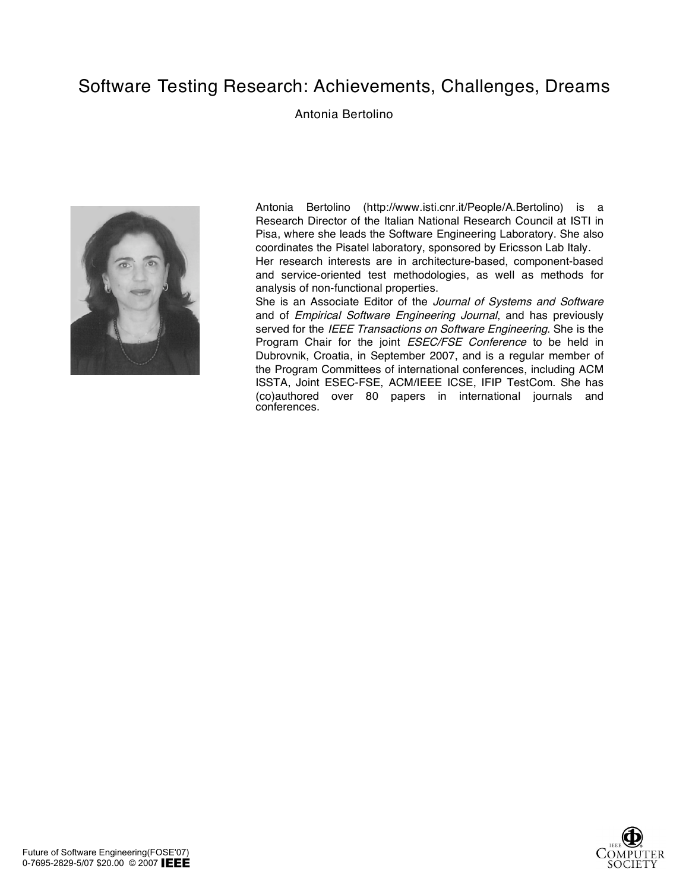# Software Testing Research: Achievements, Challenges, Dreams

Antonia Bertolino



Antonia Bertolino (http://www.isti.cnr.it/People/A.Bertolino) is a Research Director of the Italian National Research Council at ISTI in Pisa, where she leads the Software Engineering Laboratory. She also coordinates the Pisatel laboratory, sponsored by Ericsson Lab Italy. Her research interests are in architecture-based, component-based and service-oriented test methodologies, as well as methods for

analysis of non-functional properties. She is an Associate Editor of the Journal of Systems and Software and of Empirical Software Engineering Journal, and has previously served for the IEEE Transactions on Software Engineering. She is the Program Chair for the joint **ESEC/FSE Conference** to be held in Dubrovnik, Croatia, in September 2007, and is a regular member of the Program Committees of international conferences, including ACM ISSTA, Joint ESEC-FSE, ACM/IEEE ICSE, IFIP TestCom. She has (co)authored over 80 papers in international journals and conferences.

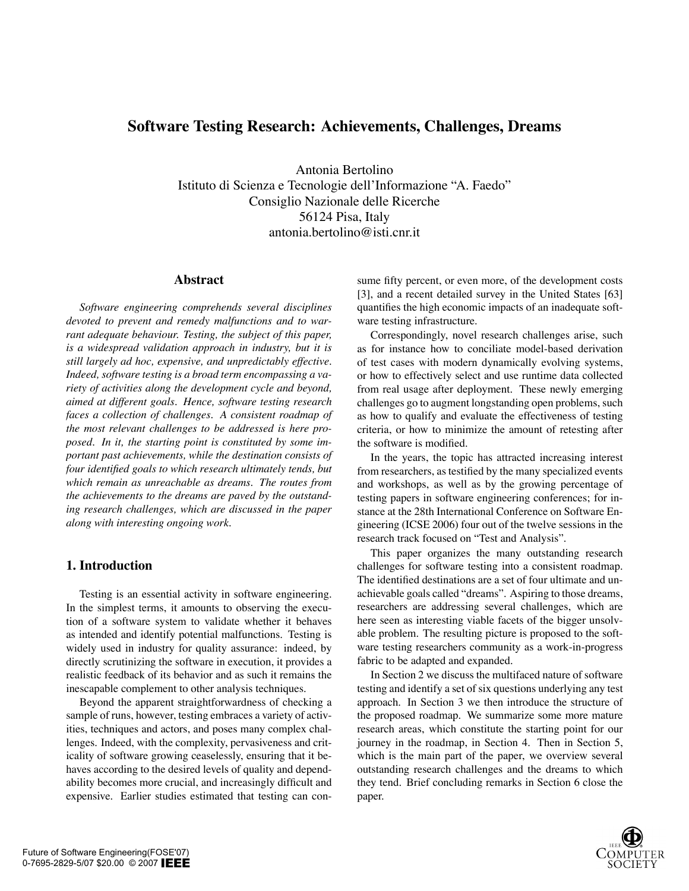# **Software Testing Research: Achievements, Challenges, Dreams**

Antonia Bertolino Istituto di Scienza e Tecnologie dell'Informazione "A. Faedo" Consiglio Nazionale delle Ricerche 56124 Pisa, Italy antonia.bertolino@isti.cnr.it

# **Abstract**

*Software engineering comprehends several disciplines devoted to prevent and remedy malfunctions and to warrant adequate behaviour. Testing, the subject of this paper, is a widespread validation approach in industry, but it is still largely ad hoc, expensive, and unpredictably effective. Indeed, software testing is a broad term encompassing a variety of activities along the development cycle and beyond, aimed at different goals. Hence, software testing research faces a collection of challenges. A consistent roadmap of the most relevant challenges to be addressed is here proposed. In it, the starting point is constituted by some important past achievements, while the destination consists of four identified goals to which research ultimately tends, but which remain as unreachable as dreams. The routes from the achievements to the dreams are paved by the outstanding research challenges, which are discussed in the paper along with interesting ongoing work.*

# **1. Introduction**

Testing is an essential activity in software engineering. In the simplest terms, it amounts to observing the execution of a software system to validate whether it behaves as intended and identify potential malfunctions. Testing is widely used in industry for quality assurance: indeed, by directly scrutinizing the software in execution, it provides a realistic feedback of its behavior and as such it remains the inescapable complement to other analysis techniques.

Beyond the apparent straightforwardness of checking a sample of runs, however, testing embraces a variety of activities, techniques and actors, and poses many complex challenges. Indeed, with the complexity, pervasiveness and criticality of software growing ceaselessly, ensuring that it behaves according to the desired levels of quality and dependability becomes more crucial, and increasingly difficult and expensive. Earlier studies estimated that testing can consume fifty percent, or even more, of the development costs [3], and a recent detailed survey in the United States [63] quantifies the high economic impacts of an inadequate software testing infrastructure.

Correspondingly, novel research challenges arise, such as for instance how to conciliate model-based derivation of test cases with modern dynamically evolving systems, or how to effectively select and use runtime data collected from real usage after deployment. These newly emerging challenges go to augment longstanding open problems, such as how to qualify and evaluate the effectiveness of testing criteria, or how to minimize the amount of retesting after the software is modified.

In the years, the topic has attracted increasing interest from researchers, as testified by the many specialized events and workshops, as well as by the growing percentage of testing papers in software engineering conferences; for instance at the 28th International Conference on Software Engineering (ICSE 2006) four out of the twelve sessions in the research track focused on "Test and Analysis".

This paper organizes the many outstanding research challenges for software testing into a consistent roadmap. The identified destinations are a set of four ultimate and unachievable goals called "dreams". Aspiring to those dreams, researchers are addressing several challenges, which are here seen as interesting viable facets of the bigger unsolvable problem. The resulting picture is proposed to the software testing researchers community as a work-in-progress fabric to be adapted and expanded.

In Section 2 we discuss the multifaced nature of software testing and identify a set of six questions underlying any test approach. In Section 3 we then introduce the structure of the proposed roadmap. We summarize some more mature research areas, which constitute the starting point for our journey in the roadmap, in Section 4. Then in Section 5, which is the main part of the paper, we overview several outstanding research challenges and the dreams to which they tend. Brief concluding remarks in Section 6 close the paper.

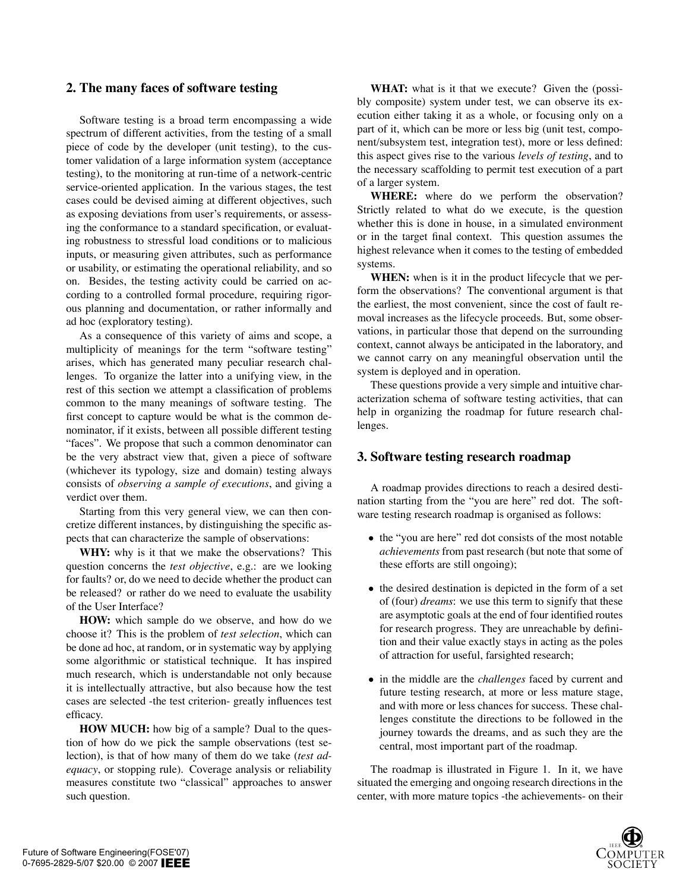# **2. The many faces of software testing**

Software testing is a broad term encompassing a wide spectrum of different activities, from the testing of a small piece of code by the developer (unit testing), to the customer validation of a large information system (acceptance testing), to the monitoring at run-time of a network-centric service-oriented application. In the various stages, the test cases could be devised aiming at different objectives, such as exposing deviations from user's requirements, or assessing the conformance to a standard specification, or evaluating robustness to stressful load conditions or to malicious inputs, or measuring given attributes, such as performance or usability, or estimating the operational reliability, and so on. Besides, the testing activity could be carried on according to a controlled formal procedure, requiring rigorous planning and documentation, or rather informally and ad hoc (exploratory testing).

As a consequence of this variety of aims and scope, a multiplicity of meanings for the term "software testing" arises, which has generated many peculiar research challenges. To organize the latter into a unifying view, in the rest of this section we attempt a classification of problems common to the many meanings of software testing. The first concept to capture would be what is the common denominator, if it exists, between all possible different testing "faces". We propose that such a common denominator can be the very abstract view that, given a piece of software (whichever its typology, size and domain) testing always consists of *observing a sample of executions*, and giving a verdict over them.

Starting from this very general view, we can then concretize different instances, by distinguishing the specific aspects that can characterize the sample of observations:

**WHY:** why is it that we make the observations? This question concerns the *test objective*, e.g.: are we looking for faults? or, do we need to decide whether the product can be released? or rather do we need to evaluate the usability of the User Interface?

**HOW:** which sample do we observe, and how do we choose it? This is the problem of *test selection*, which can be done ad hoc, at random, or in systematic way by applying some algorithmic or statistical technique. It has inspired much research, which is understandable not only because it is intellectually attractive, but also because how the test cases are selected -the test criterion- greatly influences test efficacy.

**HOW MUCH:** how big of a sample? Dual to the question of how do we pick the sample observations (test selection), is that of how many of them do we take (*test adequacy*, or stopping rule). Coverage analysis or reliability measures constitute two "classical" approaches to answer such question.

**WHAT:** what is it that we execute? Given the (possibly composite) system under test, we can observe its execution either taking it as a whole, or focusing only on a part of it, which can be more or less big (unit test, component/subsystem test, integration test), more or less defined: this aspect gives rise to the various *levels of testing*, and to the necessary scaffolding to permit test execution of a part of a larger system.

**WHERE:** where do we perform the observation? Strictly related to what do we execute, is the question whether this is done in house, in a simulated environment or in the target final context. This question assumes the highest relevance when it comes to the testing of embedded systems.

**WHEN:** when is it in the product lifecycle that we perform the observations? The conventional argument is that the earliest, the most convenient, since the cost of fault removal increases as the lifecycle proceeds. But, some observations, in particular those that depend on the surrounding context, cannot always be anticipated in the laboratory, and we cannot carry on any meaningful observation until the system is deployed and in operation.

These questions provide a very simple and intuitive characterization schema of software testing activities, that can help in organizing the roadmap for future research challenges.

# **3. Software testing research roadmap**

A roadmap provides directions to reach a desired destination starting from the "you are here" red dot. The software testing research roadmap is organised as follows:

- *•* the "you are here" red dot consists of the most notable *achievements* from past research (but note that some of these efforts are still ongoing);
- *•* the desired destination is depicted in the form of a set of (four) *dreams*: we use this term to signify that these are asymptotic goals at the end of four identified routes for research progress. They are unreachable by definition and their value exactly stays in acting as the poles of attraction for useful, farsighted research;
- *•* in the middle are the *challenges* faced by current and future testing research, at more or less mature stage, and with more or less chances for success. These challenges constitute the directions to be followed in the journey towards the dreams, and as such they are the central, most important part of the roadmap.

The roadmap is illustrated in Figure 1. In it, we have situated the emerging and ongoing research directions in the center, with more mature topics -the achievements- on their

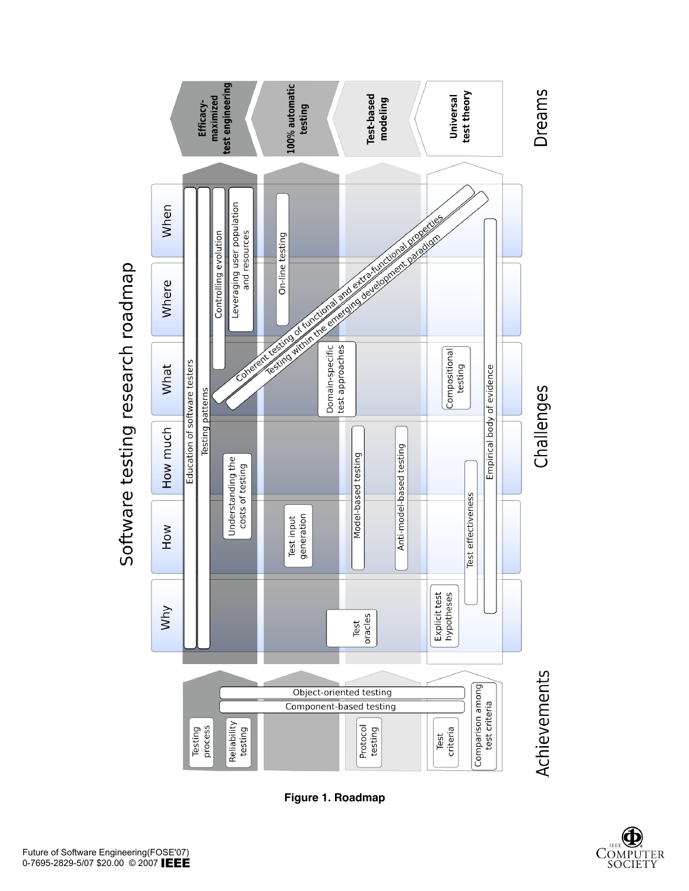

**Figure 1. Roadmap**



# Software testing research roadmap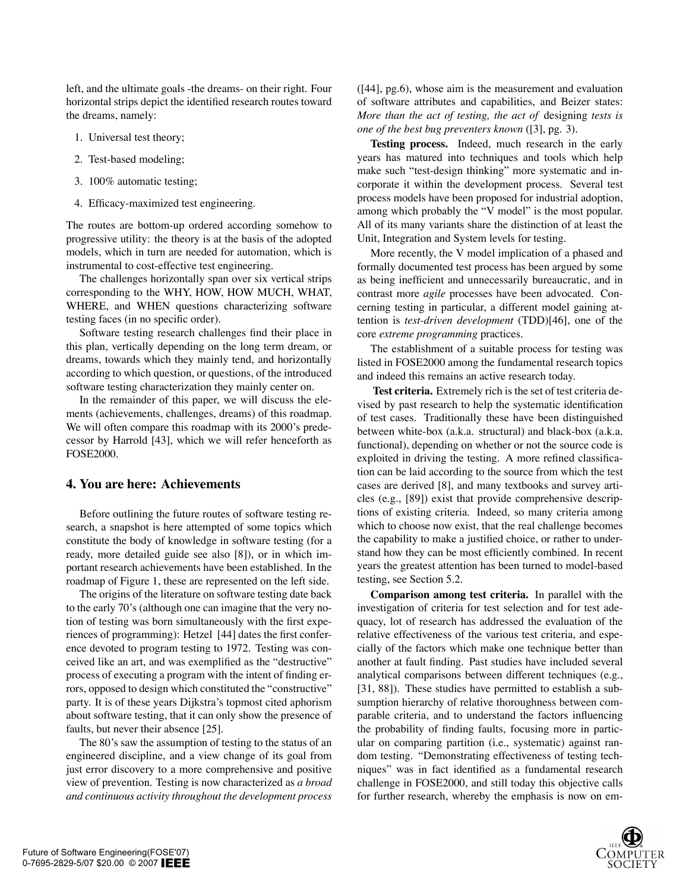left, and the ultimate goals -the dreams- on their right. Four horizontal strips depict the identified research routes toward the dreams, namely:

- 1. Universal test theory;
- 2. Test-based modeling;
- 3. 100% automatic testing;
- 4. Efficacy-maximized test engineering.

The routes are bottom-up ordered according somehow to progressive utility: the theory is at the basis of the adopted models, which in turn are needed for automation, which is instrumental to cost-effective test engineering.

The challenges horizontally span over six vertical strips corresponding to the WHY, HOW, HOW MUCH, WHAT, WHERE, and WHEN questions characterizing software testing faces (in no specific order).

Software testing research challenges find their place in this plan, vertically depending on the long term dream, or dreams, towards which they mainly tend, and horizontally according to which question, or questions, of the introduced software testing characterization they mainly center on.

In the remainder of this paper, we will discuss the elements (achievements, challenges, dreams) of this roadmap. We will often compare this roadmap with its 2000's predecessor by Harrold [43], which we will refer henceforth as FOSE2000.

#### **4. You are here: Achievements**

Before outlining the future routes of software testing research, a snapshot is here attempted of some topics which constitute the body of knowledge in software testing (for a ready, more detailed guide see also [8]), or in which important research achievements have been established. In the roadmap of Figure 1, these are represented on the left side.

The origins of the literature on software testing date back to the early 70's (although one can imagine that the very notion of testing was born simultaneously with the first experiences of programming): Hetzel [44] dates the first conference devoted to program testing to 1972. Testing was conceived like an art, and was exemplified as the "destructive" process of executing a program with the intent of finding errors, opposed to design which constituted the "constructive" party. It is of these years Dijkstra's topmost cited aphorism about software testing, that it can only show the presence of faults, but never their absence [25].

The 80's saw the assumption of testing to the status of an engineered discipline, and a view change of its goal from just error discovery to a more comprehensive and positive view of prevention. Testing is now characterized as *a broad and continuous activity throughout the development process* ([44], pg.6), whose aim is the measurement and evaluation of software attributes and capabilities, and Beizer states: *More than the act of testing, the act of* designing *tests is one of the best bug preventers known* ([3], pg. 3).

**Testing process.** Indeed, much research in the early years has matured into techniques and tools which help make such "test-design thinking" more systematic and incorporate it within the development process. Several test process models have been proposed for industrial adoption, among which probably the "V model" is the most popular. All of its many variants share the distinction of at least the Unit, Integration and System levels for testing.

More recently, the V model implication of a phased and formally documented test process has been argued by some as being inefficient and unnecessarily bureaucratic, and in contrast more *agile* processes have been advocated. Concerning testing in particular, a different model gaining attention is *test-driven development* (TDD)[46], one of the core *extreme programming* practices.

The establishment of a suitable process for testing was listed in FOSE2000 among the fundamental research topics and indeed this remains an active research today.

**Test criteria.** Extremely rich is the set of test criteria devised by past research to help the systematic identification of test cases. Traditionally these have been distinguished between white-box (a.k.a. structural) and black-box (a.k.a. functional), depending on whether or not the source code is exploited in driving the testing. A more refined classification can be laid according to the source from which the test cases are derived [8], and many textbooks and survey articles (e.g., [89]) exist that provide comprehensive descriptions of existing criteria. Indeed, so many criteria among which to choose now exist, that the real challenge becomes the capability to make a justified choice, or rather to understand how they can be most efficiently combined. In recent years the greatest attention has been turned to model-based testing, see Section 5.2.

**Comparison among test criteria.** In parallel with the investigation of criteria for test selection and for test adequacy, lot of research has addressed the evaluation of the relative effectiveness of the various test criteria, and especially of the factors which make one technique better than another at fault finding. Past studies have included several analytical comparisons between different techniques (e.g., [31, 88]). These studies have permitted to establish a subsumption hierarchy of relative thoroughness between comparable criteria, and to understand the factors influencing the probability of finding faults, focusing more in particular on comparing partition (i.e., systematic) against random testing. "Demonstrating effectiveness of testing techniques" was in fact identified as a fundamental research challenge in FOSE2000, and still today this objective calls for further research, whereby the emphasis is now on em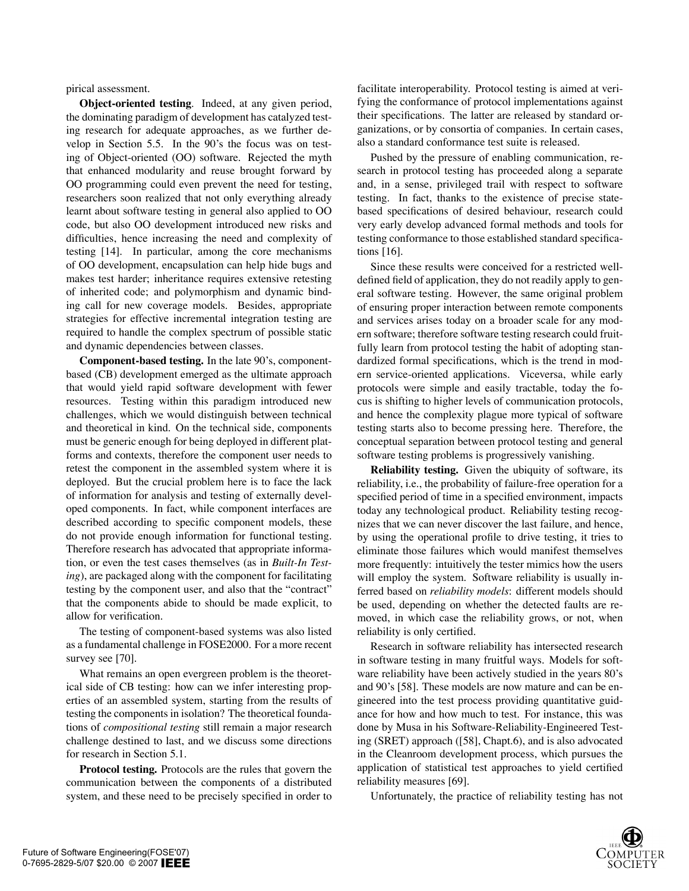pirical assessment.

**Object-oriented testing**. Indeed, at any given period, the dominating paradigm of development has catalyzed testing research for adequate approaches, as we further develop in Section 5.5. In the 90's the focus was on testing of Object-oriented (OO) software. Rejected the myth that enhanced modularity and reuse brought forward by OO programming could even prevent the need for testing, researchers soon realized that not only everything already learnt about software testing in general also applied to OO code, but also OO development introduced new risks and difficulties, hence increasing the need and complexity of testing [14]. In particular, among the core mechanisms of OO development, encapsulation can help hide bugs and makes test harder; inheritance requires extensive retesting of inherited code; and polymorphism and dynamic binding call for new coverage models. Besides, appropriate strategies for effective incremental integration testing are required to handle the complex spectrum of possible static and dynamic dependencies between classes.

**Component-based testing.** In the late 90's, componentbased (CB) development emerged as the ultimate approach that would yield rapid software development with fewer resources. Testing within this paradigm introduced new challenges, which we would distinguish between technical and theoretical in kind. On the technical side, components must be generic enough for being deployed in different platforms and contexts, therefore the component user needs to retest the component in the assembled system where it is deployed. But the crucial problem here is to face the lack of information for analysis and testing of externally developed components. In fact, while component interfaces are described according to specific component models, these do not provide enough information for functional testing. Therefore research has advocated that appropriate information, or even the test cases themselves (as in *Built-In Testing*), are packaged along with the component for facilitating testing by the component user, and also that the "contract" that the components abide to should be made explicit, to allow for verification.

The testing of component-based systems was also listed as a fundamental challenge in FOSE2000. For a more recent survey see [70].

What remains an open evergreen problem is the theoretical side of CB testing: how can we infer interesting properties of an assembled system, starting from the results of testing the components in isolation? The theoretical foundations of *compositional testing* still remain a major research challenge destined to last, and we discuss some directions for research in Section 5.1.

**Protocol testing.** Protocols are the rules that govern the communication between the components of a distributed system, and these need to be precisely specified in order to facilitate interoperability. Protocol testing is aimed at verifying the conformance of protocol implementations against their specifications. The latter are released by standard organizations, or by consortia of companies. In certain cases, also a standard conformance test suite is released.

Pushed by the pressure of enabling communication, research in protocol testing has proceeded along a separate and, in a sense, privileged trail with respect to software testing. In fact, thanks to the existence of precise statebased specifications of desired behaviour, research could very early develop advanced formal methods and tools for testing conformance to those established standard specifications [16].

Since these results were conceived for a restricted welldefined field of application, they do not readily apply to general software testing. However, the same original problem of ensuring proper interaction between remote components and services arises today on a broader scale for any modern software; therefore software testing research could fruitfully learn from protocol testing the habit of adopting standardized formal specifications, which is the trend in modern service-oriented applications. Viceversa, while early protocols were simple and easily tractable, today the focus is shifting to higher levels of communication protocols, and hence the complexity plague more typical of software testing starts also to become pressing here. Therefore, the conceptual separation between protocol testing and general software testing problems is progressively vanishing.

**Reliability testing.** Given the ubiquity of software, its reliability, i.e., the probability of failure-free operation for a specified period of time in a specified environment, impacts today any technological product. Reliability testing recognizes that we can never discover the last failure, and hence, by using the operational profile to drive testing, it tries to eliminate those failures which would manifest themselves more frequently: intuitively the tester mimics how the users will employ the system. Software reliability is usually inferred based on *reliability models*: different models should be used, depending on whether the detected faults are removed, in which case the reliability grows, or not, when reliability is only certified.

Research in software reliability has intersected research in software testing in many fruitful ways. Models for software reliability have been actively studied in the years 80's and 90's [58]. These models are now mature and can be engineered into the test process providing quantitative guidance for how and how much to test. For instance, this was done by Musa in his Software-Reliability-Engineered Testing (SRET) approach ([58], Chapt.6), and is also advocated in the Cleanroom development process, which pursues the application of statistical test approaches to yield certified reliability measures [69].

Unfortunately, the practice of reliability testing has not

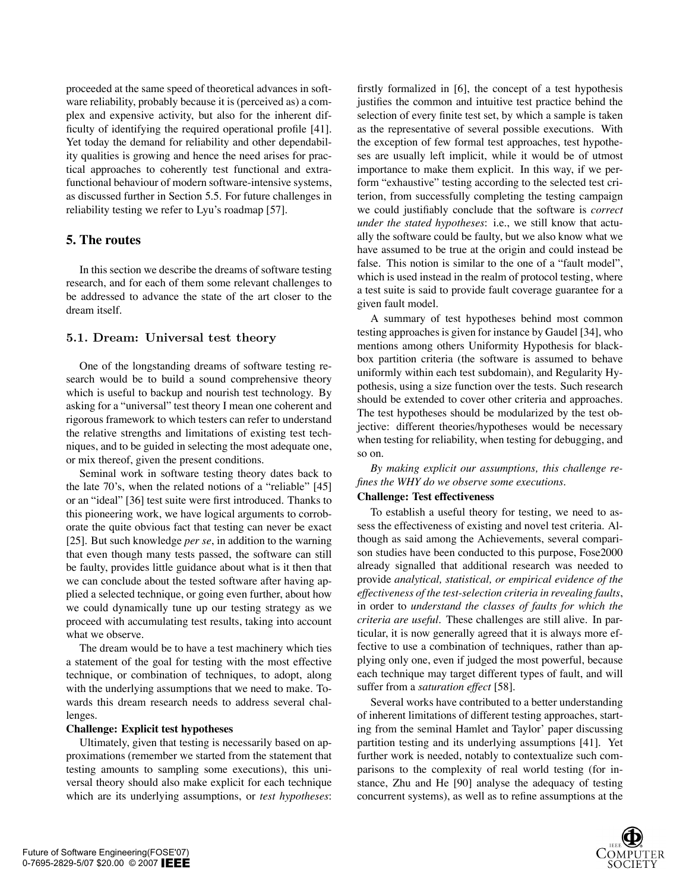proceeded at the same speed of theoretical advances in software reliability, probably because it is (perceived as) a complex and expensive activity, but also for the inherent difficulty of identifying the required operational profile [41]. Yet today the demand for reliability and other dependability qualities is growing and hence the need arises for practical approaches to coherently test functional and extrafunctional behaviour of modern software-intensive systems, as discussed further in Section 5.5. For future challenges in reliability testing we refer to Lyu's roadmap [57].

# **5. The routes**

In this section we describe the dreams of software testing research, and for each of them some relevant challenges to be addressed to advance the state of the art closer to the dream itself.

# 5.1. Dream: Universal test theory

One of the longstanding dreams of software testing research would be to build a sound comprehensive theory which is useful to backup and nourish test technology. By asking for a "universal" test theory I mean one coherent and rigorous framework to which testers can refer to understand the relative strengths and limitations of existing test techniques, and to be guided in selecting the most adequate one, or mix thereof, given the present conditions.

Seminal work in software testing theory dates back to the late 70's, when the related notions of a "reliable" [45] or an "ideal" [36] test suite were first introduced. Thanks to this pioneering work, we have logical arguments to corroborate the quite obvious fact that testing can never be exact [25]. But such knowledge *per se*, in addition to the warning that even though many tests passed, the software can still be faulty, provides little guidance about what is it then that we can conclude about the tested software after having applied a selected technique, or going even further, about how we could dynamically tune up our testing strategy as we proceed with accumulating test results, taking into account what we observe.

The dream would be to have a test machinery which ties a statement of the goal for testing with the most effective technique, or combination of techniques, to adopt, along with the underlying assumptions that we need to make. Towards this dream research needs to address several challenges.

#### **Challenge: Explicit test hypotheses**

Ultimately, given that testing is necessarily based on approximations (remember we started from the statement that testing amounts to sampling some executions), this universal theory should also make explicit for each technique which are its underlying assumptions, or *test hypotheses*:

firstly formalized in [6], the concept of a test hypothesis justifies the common and intuitive test practice behind the selection of every finite test set, by which a sample is taken as the representative of several possible executions. With the exception of few formal test approaches, test hypotheses are usually left implicit, while it would be of utmost importance to make them explicit. In this way, if we perform "exhaustive" testing according to the selected test criterion, from successfully completing the testing campaign we could justifiably conclude that the software is *correct under the stated hypotheses*: i.e., we still know that actually the software could be faulty, but we also know what we have assumed to be true at the origin and could instead be false. This notion is similar to the one of a "fault model", which is used instead in the realm of protocol testing, where a test suite is said to provide fault coverage guarantee for a given fault model.

A summary of test hypotheses behind most common testing approaches is given for instance by Gaudel [34], who mentions among others Uniformity Hypothesis for blackbox partition criteria (the software is assumed to behave uniformly within each test subdomain), and Regularity Hypothesis, using a size function over the tests. Such research should be extended to cover other criteria and approaches. The test hypotheses should be modularized by the test objective: different theories/hypotheses would be necessary when testing for reliability, when testing for debugging, and so on.

*By making explicit our assumptions, this challenge refines the WHY do we observe some executions.*

# **Challenge: Test effectiveness**

To establish a useful theory for testing, we need to assess the effectiveness of existing and novel test criteria. Although as said among the Achievements, several comparison studies have been conducted to this purpose, Fose2000 already signalled that additional research was needed to provide *analytical, statistical, or empirical evidence of the effectiveness of the test-selection criteria in revealing faults*, in order to *understand the classes of faults for which the criteria are useful*. These challenges are still alive. In particular, it is now generally agreed that it is always more effective to use a combination of techniques, rather than applying only one, even if judged the most powerful, because each technique may target different types of fault, and will suffer from a *saturation effect* [58].

Several works have contributed to a better understanding of inherent limitations of different testing approaches, starting from the seminal Hamlet and Taylor' paper discussing partition testing and its underlying assumptions [41]. Yet further work is needed, notably to contextualize such comparisons to the complexity of real world testing (for instance, Zhu and He [90] analyse the adequacy of testing concurrent systems), as well as to refine assumptions at the

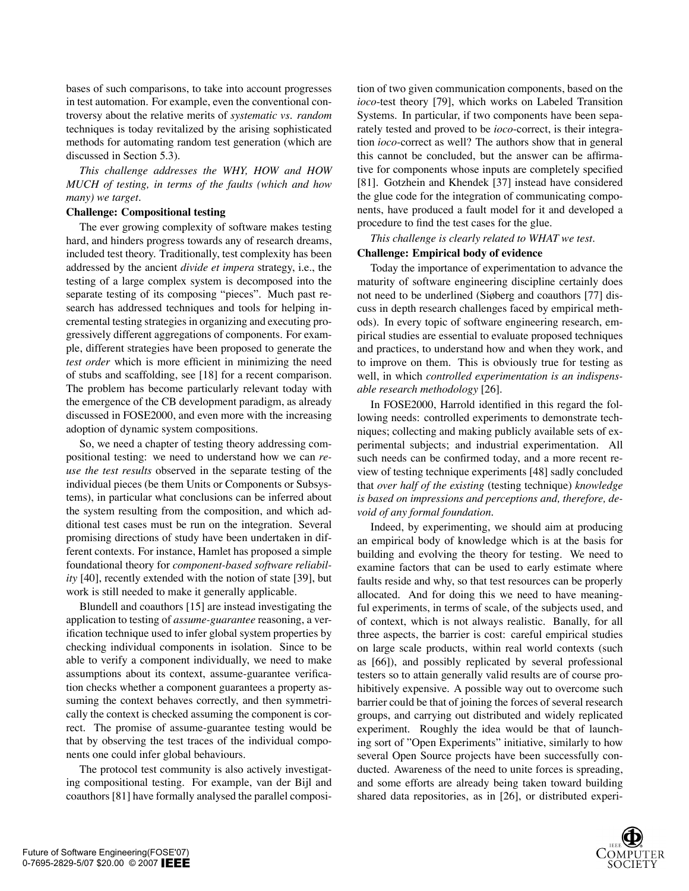bases of such comparisons, to take into account progresses in test automation. For example, even the conventional controversy about the relative merits of *systematic vs. random* techniques is today revitalized by the arising sophisticated methods for automating random test generation (which are discussed in Section 5.3).

*This challenge addresses the WHY, HOW and HOW MUCH of testing, in terms of the faults (which and how many) we target.*

#### **Challenge: Compositional testing**

The ever growing complexity of software makes testing hard, and hinders progress towards any of research dreams, included test theory. Traditionally, test complexity has been addressed by the ancient *divide et impera* strategy, i.e., the testing of a large complex system is decomposed into the separate testing of its composing "pieces". Much past research has addressed techniques and tools for helping incremental testing strategies in organizing and executing progressively different aggregations of components. For example, different strategies have been proposed to generate the *test order* which is more efficient in minimizing the need of stubs and scaffolding, see [18] for a recent comparison. The problem has become particularly relevant today with the emergence of the CB development paradigm, as already discussed in FOSE2000, and even more with the increasing adoption of dynamic system compositions.

So, we need a chapter of testing theory addressing compositional testing: we need to understand how we can *reuse the test results* observed in the separate testing of the individual pieces (be them Units or Components or Subsystems), in particular what conclusions can be inferred about the system resulting from the composition, and which additional test cases must be run on the integration. Several promising directions of study have been undertaken in different contexts. For instance, Hamlet has proposed a simple foundational theory for *component-based software reliability* [40], recently extended with the notion of state [39], but work is still needed to make it generally applicable.

Blundell and coauthors [15] are instead investigating the application to testing of *assume-guarantee* reasoning, a verification technique used to infer global system properties by checking individual components in isolation. Since to be able to verify a component individually, we need to make assumptions about its context, assume-guarantee verification checks whether a component guarantees a property assuming the context behaves correctly, and then symmetrically the context is checked assuming the component is correct. The promise of assume-guarantee testing would be that by observing the test traces of the individual components one could infer global behaviours.

The protocol test community is also actively investigating compositional testing. For example, van der Bijl and coauthors [81] have formally analysed the parallel composition of two given communication components, based on the *ioco*-test theory [79], which works on Labeled Transition Systems. In particular, if two components have been separately tested and proved to be *ioco*-correct, is their integration *ioco*-correct as well? The authors show that in general this cannot be concluded, but the answer can be affirmative for components whose inputs are completely specified [81]. Gotzhein and Khendek [37] instead have considered the glue code for the integration of communicating components, have produced a fault model for it and developed a procedure to find the test cases for the glue.

*This challenge is clearly related to WHAT we test.*

#### **Challenge: Empirical body of evidence**

Today the importance of experimentation to advance the maturity of software engineering discipline certainly does not need to be underlined (Siøberg and coauthors [77] discuss in depth research challenges faced by empirical methods). In every topic of software engineering research, empirical studies are essential to evaluate proposed techniques and practices, to understand how and when they work, and to improve on them. This is obviously true for testing as well, in which *controlled experimentation is an indispensable research methodology* [26].

In FOSE2000, Harrold identified in this regard the following needs: controlled experiments to demonstrate techniques; collecting and making publicly available sets of experimental subjects; and industrial experimentation. All such needs can be confirmed today, and a more recent review of testing technique experiments [48] sadly concluded that *over half of the existing* (testing technique) *knowledge is based on impressions and perceptions and, therefore, devoid of any formal foundation.*

Indeed, by experimenting, we should aim at producing an empirical body of knowledge which is at the basis for building and evolving the theory for testing. We need to examine factors that can be used to early estimate where faults reside and why, so that test resources can be properly allocated. And for doing this we need to have meaningful experiments, in terms of scale, of the subjects used, and of context, which is not always realistic. Banally, for all three aspects, the barrier is cost: careful empirical studies on large scale products, within real world contexts (such as [66]), and possibly replicated by several professional testers so to attain generally valid results are of course prohibitively expensive. A possible way out to overcome such barrier could be that of joining the forces of several research groups, and carrying out distributed and widely replicated experiment. Roughly the idea would be that of launching sort of "Open Experiments" initiative, similarly to how several Open Source projects have been successfully conducted. Awareness of the need to unite forces is spreading, and some efforts are already being taken toward building shared data repositories, as in [26], or distributed experi-

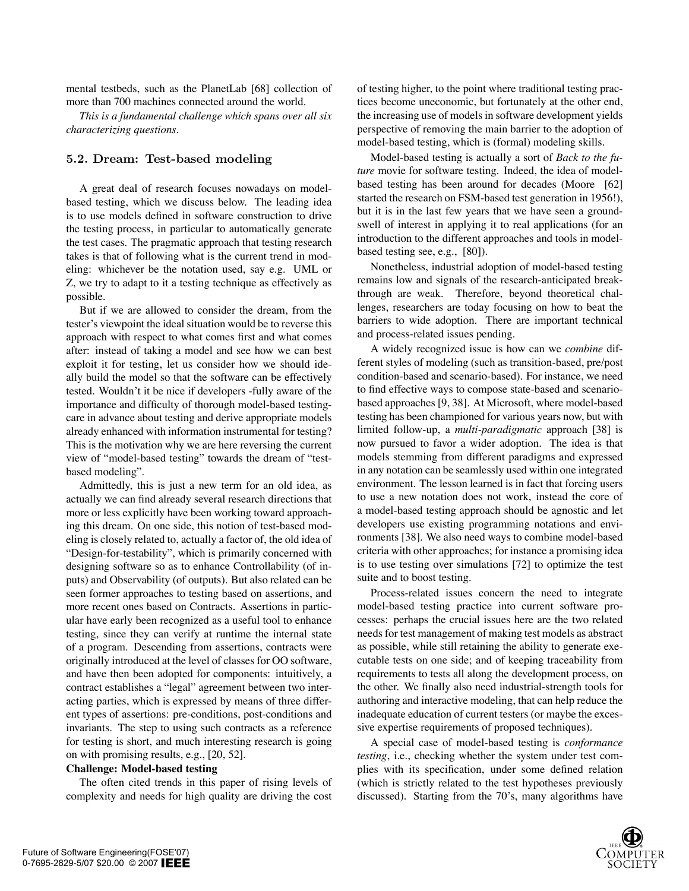mental testbeds, such as the PlanetLab [68] collection of more than 700 machines connected around the world.

*This is a fundamental challenge which spans over all six characterizing questions.*

# 5.2. Dream: Test-based modeling

A great deal of research focuses nowadays on modelbased testing, which we discuss below. The leading idea is to use models defined in software construction to drive the testing process, in particular to automatically generate the test cases. The pragmatic approach that testing research takes is that of following what is the current trend in modeling: whichever be the notation used, say e.g. UML or Z, we try to adapt to it a testing technique as effectively as possible.

But if we are allowed to consider the dream, from the tester's viewpoint the ideal situation would be to reverse this approach with respect to what comes first and what comes after: instead of taking a model and see how we can best exploit it for testing, let us consider how we should ideally build the model so that the software can be effectively tested. Wouldn't it be nice if developers -fully aware of the importance and difficulty of thorough model-based testingcare in advance about testing and derive appropriate models already enhanced with information instrumental for testing? This is the motivation why we are here reversing the current view of "model-based testing" towards the dream of "testbased modeling".

Admittedly, this is just a new term for an old idea, as actually we can find already several research directions that more or less explicitly have been working toward approaching this dream. On one side, this notion of test-based modeling is closely related to, actually a factor of, the old idea of "Design-for-testability", which is primarily concerned with designing software so as to enhance Controllability (of inputs) and Observability (of outputs). But also related can be seen former approaches to testing based on assertions, and more recent ones based on Contracts. Assertions in particular have early been recognized as a useful tool to enhance testing, since they can verify at runtime the internal state of a program. Descending from assertions, contracts were originally introduced at the level of classes for OO software, and have then been adopted for components: intuitively, a contract establishes a "legal" agreement between two interacting parties, which is expressed by means of three different types of assertions: pre-conditions, post-conditions and invariants. The step to using such contracts as a reference for testing is short, and much interesting research is going on with promising results, e.g., [20, 52].

# **Challenge: Model-based testing**

The often cited trends in this paper of rising levels of complexity and needs for high quality are driving the cost of testing higher, to the point where traditional testing practices become uneconomic, but fortunately at the other end, the increasing use of models in software development yields perspective of removing the main barrier to the adoption of model-based testing, which is (formal) modeling skills.

Model-based testing is actually a sort of *Back to the future* movie for software testing. Indeed, the idea of modelbased testing has been around for decades (Moore [62] started the research on FSM-based test generation in 1956!), but it is in the last few years that we have seen a groundswell of interest in applying it to real applications (for an introduction to the different approaches and tools in modelbased testing see, e.g., [80]).

Nonetheless, industrial adoption of model-based testing remains low and signals of the research-anticipated breakthrough are weak. Therefore, beyond theoretical challenges, researchers are today focusing on how to beat the barriers to wide adoption. There are important technical and process-related issues pending.

A widely recognized issue is how can we *combine* different styles of modeling (such as transition-based, pre/post condition-based and scenario-based). For instance, we need to find effective ways to compose state-based and scenariobased approaches [9, 38]. At Microsoft, where model-based testing has been championed for various years now, but with limited follow-up, a *multi-paradigmatic* approach [38] is now pursued to favor a wider adoption. The idea is that models stemming from different paradigms and expressed in any notation can be seamlessly used within one integrated environment. The lesson learned is in fact that forcing users to use a new notation does not work, instead the core of a model-based testing approach should be agnostic and let developers use existing programming notations and environments [38]. We also need ways to combine model-based criteria with other approaches; for instance a promising idea is to use testing over simulations [72] to optimize the test suite and to boost testing.

Process-related issues concern the need to integrate model-based testing practice into current software processes: perhaps the crucial issues here are the two related needs for test management of making test models as abstract as possible, while still retaining the ability to generate executable tests on one side; and of keeping traceability from requirements to tests all along the development process, on the other. We finally also need industrial-strength tools for authoring and interactive modeling, that can help reduce the inadequate education of current testers (or maybe the excessive expertise requirements of proposed techniques).

A special case of model-based testing is *conformance testing*, i.e., checking whether the system under test complies with its specification, under some defined relation (which is strictly related to the test hypotheses previously discussed). Starting from the 70's, many algorithms have

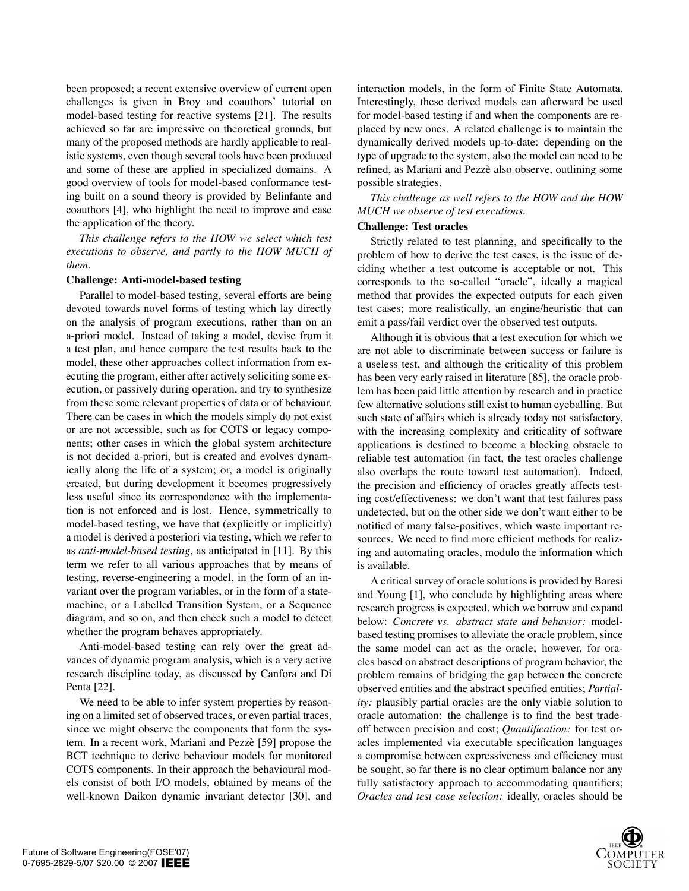been proposed; a recent extensive overview of current open challenges is given in Broy and coauthors' tutorial on model-based testing for reactive systems [21]. The results achieved so far are impressive on theoretical grounds, but many of the proposed methods are hardly applicable to realistic systems, even though several tools have been produced and some of these are applied in specialized domains. A good overview of tools for model-based conformance testing built on a sound theory is provided by Belinfante and coauthors [4], who highlight the need to improve and ease the application of the theory.

*This challenge refers to the HOW we select which test executions to observe, and partly to the HOW MUCH of them.*

#### **Challenge: Anti-model-based testing**

Parallel to model-based testing, several efforts are being devoted towards novel forms of testing which lay directly on the analysis of program executions, rather than on an a-priori model. Instead of taking a model, devise from it a test plan, and hence compare the test results back to the model, these other approaches collect information from executing the program, either after actively soliciting some execution, or passively during operation, and try to synthesize from these some relevant properties of data or of behaviour. There can be cases in which the models simply do not exist or are not accessible, such as for COTS or legacy components; other cases in which the global system architecture is not decided a-priori, but is created and evolves dynamically along the life of a system; or, a model is originally created, but during development it becomes progressively less useful since its correspondence with the implementation is not enforced and is lost. Hence, symmetrically to model-based testing, we have that (explicitly or implicitly) a model is derived a posteriori via testing, which we refer to as *anti-model-based testing*, as anticipated in [11]. By this term we refer to all various approaches that by means of testing, reverse-engineering a model, in the form of an invariant over the program variables, or in the form of a statemachine, or a Labelled Transition System, or a Sequence diagram, and so on, and then check such a model to detect whether the program behaves appropriately.

Anti-model-based testing can rely over the great advances of dynamic program analysis, which is a very active research discipline today, as discussed by Canfora and Di Penta [22].

We need to be able to infer system properties by reasoning on a limited set of observed traces, or even partial traces, since we might observe the components that form the system. In a recent work, Mariani and Pezzè [59] propose the BCT technique to derive behaviour models for monitored COTS components. In their approach the behavioural models consist of both I/O models, obtained by means of the well-known Daikon dynamic invariant detector [30], and interaction models, in the form of Finite State Automata. Interestingly, these derived models can afterward be used for model-based testing if and when the components are replaced by new ones. A related challenge is to maintain the dynamically derived models up-to-date: depending on the type of upgrade to the system, also the model can need to be refined, as Mariani and Pezze also observe, outlining some ` possible strategies.

*This challenge as well refers to the HOW and the HOW MUCH we observe of test executions.*

# **Challenge: Test oracles**

Strictly related to test planning, and specifically to the problem of how to derive the test cases, is the issue of deciding whether a test outcome is acceptable or not. This corresponds to the so-called "oracle", ideally a magical method that provides the expected outputs for each given test cases; more realistically, an engine/heuristic that can emit a pass/fail verdict over the observed test outputs.

Although it is obvious that a test execution for which we are not able to discriminate between success or failure is a useless test, and although the criticality of this problem has been very early raised in literature [85], the oracle problem has been paid little attention by research and in practice few alternative solutions still exist to human eyeballing. But such state of affairs which is already today not satisfactory, with the increasing complexity and criticality of software applications is destined to become a blocking obstacle to reliable test automation (in fact, the test oracles challenge also overlaps the route toward test automation). Indeed, the precision and efficiency of oracles greatly affects testing cost/effectiveness: we don't want that test failures pass undetected, but on the other side we don't want either to be notified of many false-positives, which waste important resources. We need to find more efficient methods for realizing and automating oracles, modulo the information which is available.

A critical survey of oracle solutions is provided by Baresi and Young [1], who conclude by highlighting areas where research progress is expected, which we borrow and expand below: *Concrete vs. abstract state and behavior:* modelbased testing promises to alleviate the oracle problem, since the same model can act as the oracle; however, for oracles based on abstract descriptions of program behavior, the problem remains of bridging the gap between the concrete observed entities and the abstract specified entities; *Partiality:* plausibly partial oracles are the only viable solution to oracle automation: the challenge is to find the best tradeoff between precision and cost; *Quantification:* for test oracles implemented via executable specification languages a compromise between expressiveness and efficiency must be sought, so far there is no clear optimum balance nor any fully satisfactory approach to accommodating quantifiers; *Oracles and test case selection:* ideally, oracles should be

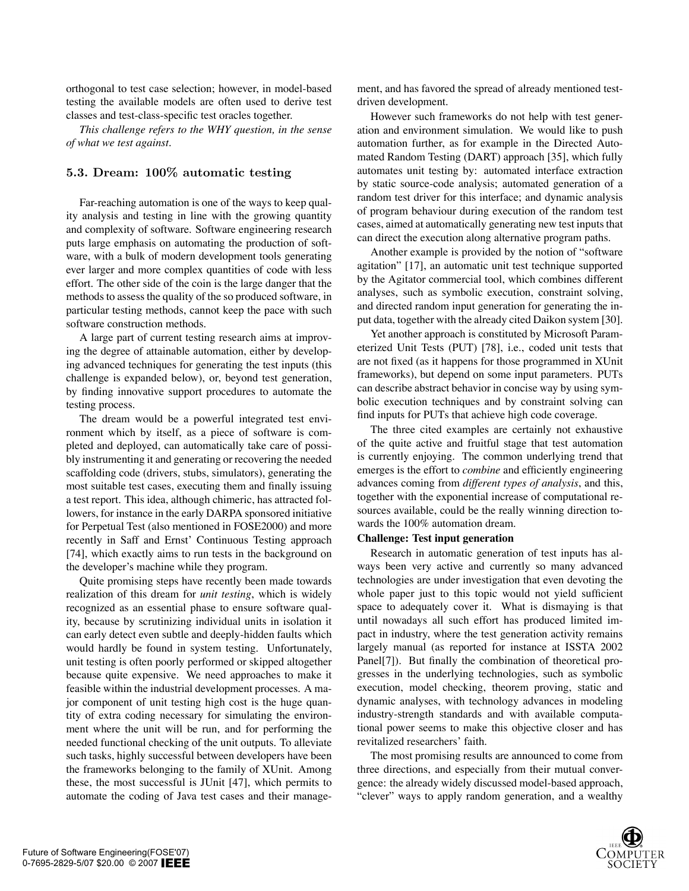orthogonal to test case selection; however, in model-based testing the available models are often used to derive test classes and test-class-specific test oracles together.

*This challenge refers to the WHY question, in the sense of what we test against.*

# 5.3. Dream: 100% automatic testing

Far-reaching automation is one of the ways to keep quality analysis and testing in line with the growing quantity and complexity of software. Software engineering research puts large emphasis on automating the production of software, with a bulk of modern development tools generating ever larger and more complex quantities of code with less effort. The other side of the coin is the large danger that the methods to assess the quality of the so produced software, in particular testing methods, cannot keep the pace with such software construction methods.

A large part of current testing research aims at improving the degree of attainable automation, either by developing advanced techniques for generating the test inputs (this challenge is expanded below), or, beyond test generation, by finding innovative support procedures to automate the testing process.

The dream would be a powerful integrated test environment which by itself, as a piece of software is completed and deployed, can automatically take care of possibly instrumenting it and generating or recovering the needed scaffolding code (drivers, stubs, simulators), generating the most suitable test cases, executing them and finally issuing a test report. This idea, although chimeric, has attracted followers, for instance in the early DARPA sponsored initiative for Perpetual Test (also mentioned in FOSE2000) and more recently in Saff and Ernst' Continuous Testing approach [74], which exactly aims to run tests in the background on the developer's machine while they program.

Quite promising steps have recently been made towards realization of this dream for *unit testing*, which is widely recognized as an essential phase to ensure software quality, because by scrutinizing individual units in isolation it can early detect even subtle and deeply-hidden faults which would hardly be found in system testing. Unfortunately, unit testing is often poorly performed or skipped altogether because quite expensive. We need approaches to make it feasible within the industrial development processes. A major component of unit testing high cost is the huge quantity of extra coding necessary for simulating the environment where the unit will be run, and for performing the needed functional checking of the unit outputs. To alleviate such tasks, highly successful between developers have been the frameworks belonging to the family of XUnit. Among these, the most successful is JUnit [47], which permits to automate the coding of Java test cases and their manage-

ment, and has favored the spread of already mentioned testdriven development.

However such frameworks do not help with test generation and environment simulation. We would like to push automation further, as for example in the Directed Automated Random Testing (DART) approach [35], which fully automates unit testing by: automated interface extraction by static source-code analysis; automated generation of a random test driver for this interface; and dynamic analysis of program behaviour during execution of the random test cases, aimed at automatically generating new test inputs that can direct the execution along alternative program paths.

Another example is provided by the notion of "software agitation" [17], an automatic unit test technique supported by the Agitator commercial tool, which combines different analyses, such as symbolic execution, constraint solving, and directed random input generation for generating the input data, together with the already cited Daikon system [30].

Yet another approach is constituted by Microsoft Parameterized Unit Tests (PUT) [78], i.e., coded unit tests that are not fixed (as it happens for those programmed in XUnit frameworks), but depend on some input parameters. PUTs can describe abstract behavior in concise way by using symbolic execution techniques and by constraint solving can find inputs for PUTs that achieve high code coverage.

The three cited examples are certainly not exhaustive of the quite active and fruitful stage that test automation is currently enjoying. The common underlying trend that emerges is the effort to *combine* and efficiently engineering advances coming from *different types of analysis*, and this, together with the exponential increase of computational resources available, could be the really winning direction towards the 100% automation dream.

#### **Challenge: Test input generation**

Research in automatic generation of test inputs has always been very active and currently so many advanced technologies are under investigation that even devoting the whole paper just to this topic would not yield sufficient space to adequately cover it. What is dismaying is that until nowadays all such effort has produced limited impact in industry, where the test generation activity remains largely manual (as reported for instance at ISSTA 2002 Panel<sup>[7]</sup>). But finally the combination of theoretical progresses in the underlying technologies, such as symbolic execution, model checking, theorem proving, static and dynamic analyses, with technology advances in modeling industry-strength standards and with available computational power seems to make this objective closer and has revitalized researchers' faith.

The most promising results are announced to come from three directions, and especially from their mutual convergence: the already widely discussed model-based approach, "clever" ways to apply random generation, and a wealthy

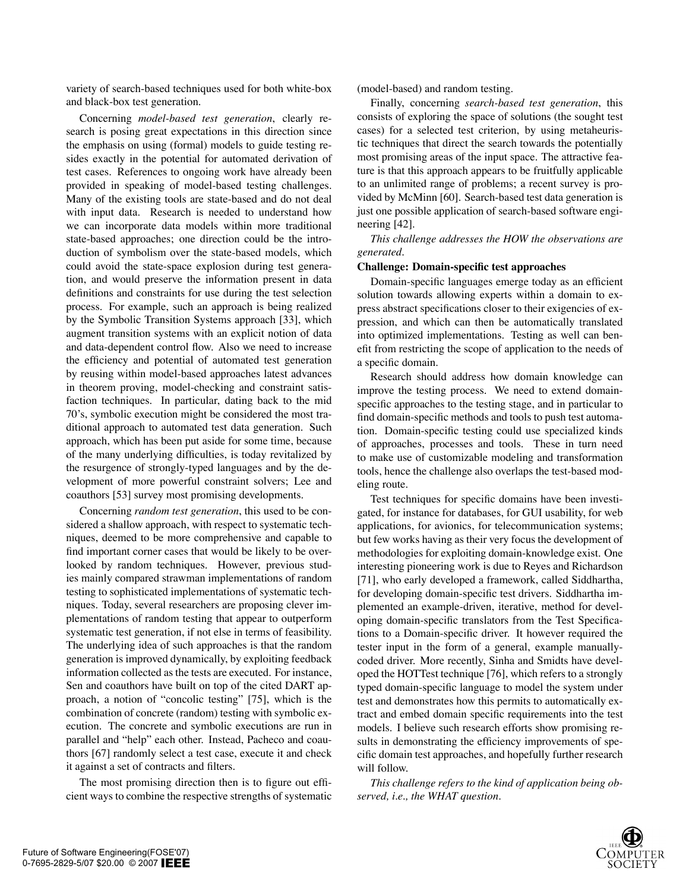variety of search-based techniques used for both white-box and black-box test generation.

Concerning *model-based test generation*, clearly research is posing great expectations in this direction since the emphasis on using (formal) models to guide testing resides exactly in the potential for automated derivation of test cases. References to ongoing work have already been provided in speaking of model-based testing challenges. Many of the existing tools are state-based and do not deal with input data. Research is needed to understand how we can incorporate data models within more traditional state-based approaches; one direction could be the introduction of symbolism over the state-based models, which could avoid the state-space explosion during test generation, and would preserve the information present in data definitions and constraints for use during the test selection process. For example, such an approach is being realized by the Symbolic Transition Systems approach [33], which augment transition systems with an explicit notion of data and data-dependent control flow. Also we need to increase the efficiency and potential of automated test generation by reusing within model-based approaches latest advances in theorem proving, model-checking and constraint satisfaction techniques. In particular, dating back to the mid 70's, symbolic execution might be considered the most traditional approach to automated test data generation. Such approach, which has been put aside for some time, because of the many underlying difficulties, is today revitalized by the resurgence of strongly-typed languages and by the development of more powerful constraint solvers; Lee and coauthors [53] survey most promising developments.

Concerning *random test generation*, this used to be considered a shallow approach, with respect to systematic techniques, deemed to be more comprehensive and capable to find important corner cases that would be likely to be overlooked by random techniques. However, previous studies mainly compared strawman implementations of random testing to sophisticated implementations of systematic techniques. Today, several researchers are proposing clever implementations of random testing that appear to outperform systematic test generation, if not else in terms of feasibility. The underlying idea of such approaches is that the random generation is improved dynamically, by exploiting feedback information collected as the tests are executed. For instance, Sen and coauthors have built on top of the cited DART approach, a notion of "concolic testing" [75], which is the combination of concrete (random) testing with symbolic execution. The concrete and symbolic executions are run in parallel and "help" each other. Instead, Pacheco and coauthors [67] randomly select a test case, execute it and check it against a set of contracts and filters.

The most promising direction then is to figure out efficient ways to combine the respective strengths of systematic (model-based) and random testing.

Finally, concerning *search-based test generation*, this consists of exploring the space of solutions (the sought test cases) for a selected test criterion, by using metaheuristic techniques that direct the search towards the potentially most promising areas of the input space. The attractive feature is that this approach appears to be fruitfully applicable to an unlimited range of problems; a recent survey is provided by McMinn [60]. Search-based test data generation is just one possible application of search-based software engineering [42].

*This challenge addresses the HOW the observations are generated.*

#### **Challenge: Domain-specific test approaches**

Domain-specific languages emerge today as an efficient solution towards allowing experts within a domain to express abstract specifications closer to their exigencies of expression, and which can then be automatically translated into optimized implementations. Testing as well can benefit from restricting the scope of application to the needs of a specific domain.

Research should address how domain knowledge can improve the testing process. We need to extend domainspecific approaches to the testing stage, and in particular to find domain-specific methods and tools to push test automation. Domain-specific testing could use specialized kinds of approaches, processes and tools. These in turn need to make use of customizable modeling and transformation tools, hence the challenge also overlaps the test-based modeling route.

Test techniques for specific domains have been investigated, for instance for databases, for GUI usability, for web applications, for avionics, for telecommunication systems; but few works having as their very focus the development of methodologies for exploiting domain-knowledge exist. One interesting pioneering work is due to Reyes and Richardson [71], who early developed a framework, called Siddhartha, for developing domain-specific test drivers. Siddhartha implemented an example-driven, iterative, method for developing domain-specific translators from the Test Specifications to a Domain-specific driver. It however required the tester input in the form of a general, example manuallycoded driver. More recently, Sinha and Smidts have developed the HOTTest technique [76], which refers to a strongly typed domain-specific language to model the system under test and demonstrates how this permits to automatically extract and embed domain specific requirements into the test models. I believe such research efforts show promising results in demonstrating the efficiency improvements of specific domain test approaches, and hopefully further research will follow.

*This challenge refers to the kind of application being observed, i.e., the WHAT question.*

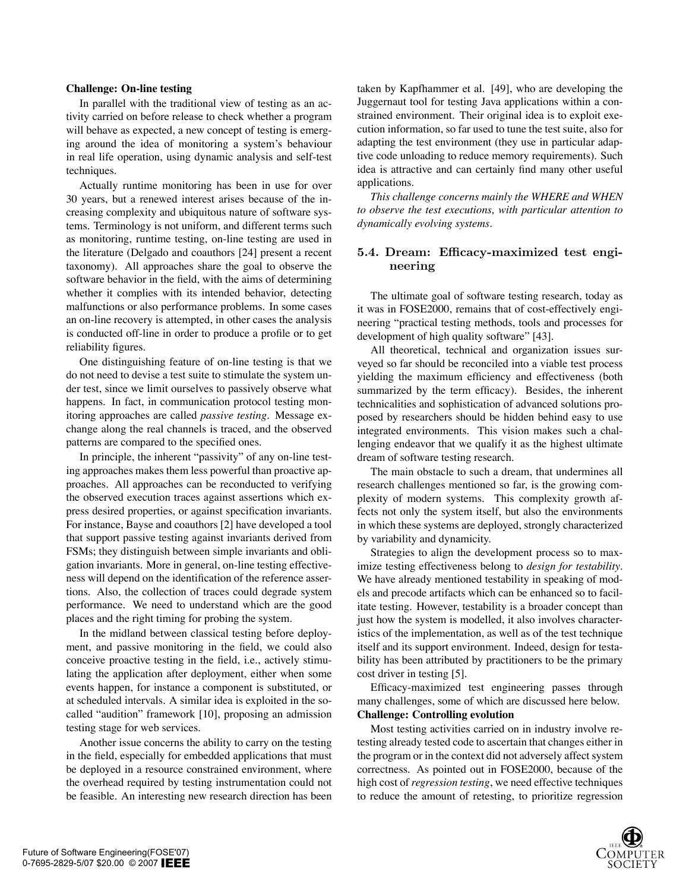#### **Challenge: On-line testing**

In parallel with the traditional view of testing as an activity carried on before release to check whether a program will behave as expected, a new concept of testing is emerging around the idea of monitoring a system's behaviour in real life operation, using dynamic analysis and self-test techniques.

Actually runtime monitoring has been in use for over 30 years, but a renewed interest arises because of the increasing complexity and ubiquitous nature of software systems. Terminology is not uniform, and different terms such as monitoring, runtime testing, on-line testing are used in the literature (Delgado and coauthors [24] present a recent taxonomy). All approaches share the goal to observe the software behavior in the field, with the aims of determining whether it complies with its intended behavior, detecting malfunctions or also performance problems. In some cases an on-line recovery is attempted, in other cases the analysis is conducted off-line in order to produce a profile or to get reliability figures.

One distinguishing feature of on-line testing is that we do not need to devise a test suite to stimulate the system under test, since we limit ourselves to passively observe what happens. In fact, in communication protocol testing monitoring approaches are called *passive testing*. Message exchange along the real channels is traced, and the observed patterns are compared to the specified ones.

In principle, the inherent "passivity" of any on-line testing approaches makes them less powerful than proactive approaches. All approaches can be reconducted to verifying the observed execution traces against assertions which express desired properties, or against specification invariants. For instance, Bayse and coauthors [2] have developed a tool that support passive testing against invariants derived from FSMs; they distinguish between simple invariants and obligation invariants. More in general, on-line testing effectiveness will depend on the identification of the reference assertions. Also, the collection of traces could degrade system performance. We need to understand which are the good places and the right timing for probing the system.

In the midland between classical testing before deployment, and passive monitoring in the field, we could also conceive proactive testing in the field, i.e., actively stimulating the application after deployment, either when some events happen, for instance a component is substituted, or at scheduled intervals. A similar idea is exploited in the socalled "audition" framework [10], proposing an admission testing stage for web services.

Another issue concerns the ability to carry on the testing in the field, especially for embedded applications that must be deployed in a resource constrained environment, where the overhead required by testing instrumentation could not be feasible. An interesting new research direction has been

taken by Kapfhammer et al. [49], who are developing the Juggernaut tool for testing Java applications within a constrained environment. Their original idea is to exploit execution information, so far used to tune the test suite, also for adapting the test environment (they use in particular adaptive code unloading to reduce memory requirements). Such idea is attractive and can certainly find many other useful applications.

*This challenge concerns mainly the WHERE and WHEN to observe the test executions, with particular attention to dynamically evolving systems.*

# 5.4. Dream: Efficacy-maximized test engineering

The ultimate goal of software testing research, today as it was in FOSE2000, remains that of cost-effectively engineering "practical testing methods, tools and processes for development of high quality software" [43].

All theoretical, technical and organization issues surveyed so far should be reconciled into a viable test process yielding the maximum efficiency and effectiveness (both summarized by the term efficacy). Besides, the inherent technicalities and sophistication of advanced solutions proposed by researchers should be hidden behind easy to use integrated environments. This vision makes such a challenging endeavor that we qualify it as the highest ultimate dream of software testing research.

The main obstacle to such a dream, that undermines all research challenges mentioned so far, is the growing complexity of modern systems. This complexity growth affects not only the system itself, but also the environments in which these systems are deployed, strongly characterized by variability and dynamicity.

Strategies to align the development process so to maximize testing effectiveness belong to *design for testability*. We have already mentioned testability in speaking of models and precode artifacts which can be enhanced so to facilitate testing. However, testability is a broader concept than just how the system is modelled, it also involves characteristics of the implementation, as well as of the test technique itself and its support environment. Indeed, design for testability has been attributed by practitioners to be the primary cost driver in testing [5].

Efficacy-maximized test engineering passes through many challenges, some of which are discussed here below. **Challenge: Controlling evolution**

Most testing activities carried on in industry involve retesting already tested code to ascertain that changes either in the program or in the context did not adversely affect system correctness. As pointed out in FOSE2000, because of the high cost of *regression testing*, we need effective techniques to reduce the amount of retesting, to prioritize regression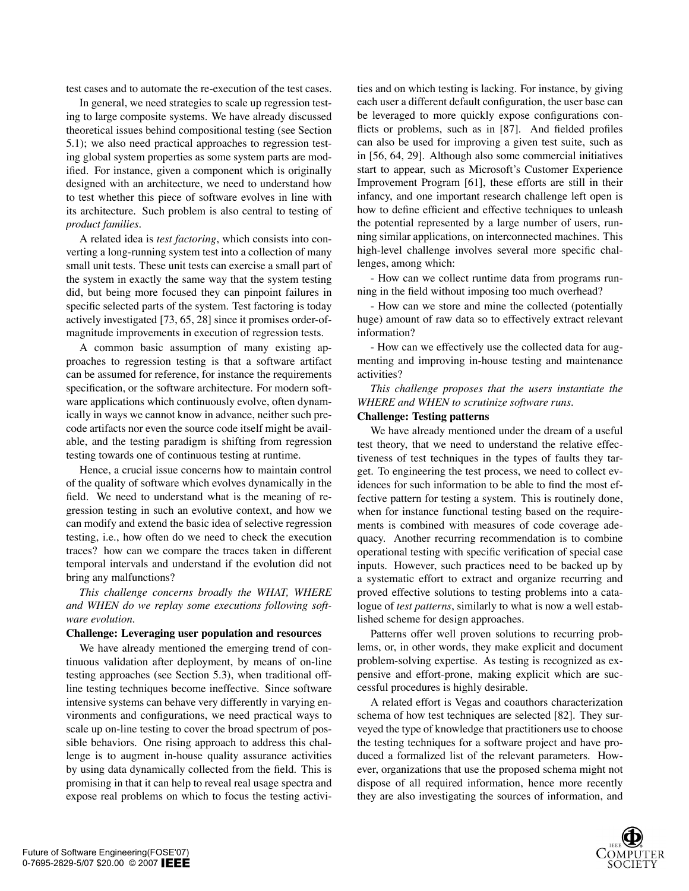test cases and to automate the re-execution of the test cases.

In general, we need strategies to scale up regression testing to large composite systems. We have already discussed theoretical issues behind compositional testing (see Section 5.1); we also need practical approaches to regression testing global system properties as some system parts are modified. For instance, given a component which is originally designed with an architecture, we need to understand how to test whether this piece of software evolves in line with its architecture. Such problem is also central to testing of *product families*.

A related idea is *test factoring*, which consists into converting a long-running system test into a collection of many small unit tests. These unit tests can exercise a small part of the system in exactly the same way that the system testing did, but being more focused they can pinpoint failures in specific selected parts of the system. Test factoring is today actively investigated [73, 65, 28] since it promises order-ofmagnitude improvements in execution of regression tests.

A common basic assumption of many existing approaches to regression testing is that a software artifact can be assumed for reference, for instance the requirements specification, or the software architecture. For modern software applications which continuously evolve, often dynamically in ways we cannot know in advance, neither such precode artifacts nor even the source code itself might be available, and the testing paradigm is shifting from regression testing towards one of continuous testing at runtime.

Hence, a crucial issue concerns how to maintain control of the quality of software which evolves dynamically in the field. We need to understand what is the meaning of regression testing in such an evolutive context, and how we can modify and extend the basic idea of selective regression testing, i.e., how often do we need to check the execution traces? how can we compare the traces taken in different temporal intervals and understand if the evolution did not bring any malfunctions?

*This challenge concerns broadly the WHAT, WHERE and WHEN do we replay some executions following software evolution.*

#### **Challenge: Leveraging user population and resources**

We have already mentioned the emerging trend of continuous validation after deployment, by means of on-line testing approaches (see Section 5.3), when traditional offline testing techniques become ineffective. Since software intensive systems can behave very differently in varying environments and configurations, we need practical ways to scale up on-line testing to cover the broad spectrum of possible behaviors. One rising approach to address this challenge is to augment in-house quality assurance activities by using data dynamically collected from the field. This is promising in that it can help to reveal real usage spectra and expose real problems on which to focus the testing activi-

ties and on which testing is lacking. For instance, by giving each user a different default configuration, the user base can be leveraged to more quickly expose configurations conflicts or problems, such as in [87]. And fielded profiles can also be used for improving a given test suite, such as in [56, 64, 29]. Although also some commercial initiatives start to appear, such as Microsoft's Customer Experience Improvement Program [61], these efforts are still in their infancy, and one important research challenge left open is how to define efficient and effective techniques to unleash the potential represented by a large number of users, running similar applications, on interconnected machines. This high-level challenge involves several more specific challenges, among which:

- How can we collect runtime data from programs running in the field without imposing too much overhead?

- How can we store and mine the collected (potentially huge) amount of raw data so to effectively extract relevant information?

- How can we effectively use the collected data for augmenting and improving in-house testing and maintenance activities?

*This challenge proposes that the users instantiate the WHERE and WHEN to scrutinize software runs.*

#### **Challenge: Testing patterns**

We have already mentioned under the dream of a useful test theory, that we need to understand the relative effectiveness of test techniques in the types of faults they target. To engineering the test process, we need to collect evidences for such information to be able to find the most effective pattern for testing a system. This is routinely done, when for instance functional testing based on the requirements is combined with measures of code coverage adequacy. Another recurring recommendation is to combine operational testing with specific verification of special case inputs. However, such practices need to be backed up by a systematic effort to extract and organize recurring and proved effective solutions to testing problems into a catalogue of *test patterns*, similarly to what is now a well established scheme for design approaches.

Patterns offer well proven solutions to recurring problems, or, in other words, they make explicit and document problem-solving expertise. As testing is recognized as expensive and effort-prone, making explicit which are successful procedures is highly desirable.

A related effort is Vegas and coauthors characterization schema of how test techniques are selected [82]. They surveyed the type of knowledge that practitioners use to choose the testing techniques for a software project and have produced a formalized list of the relevant parameters. However, organizations that use the proposed schema might not dispose of all required information, hence more recently they are also investigating the sources of information, and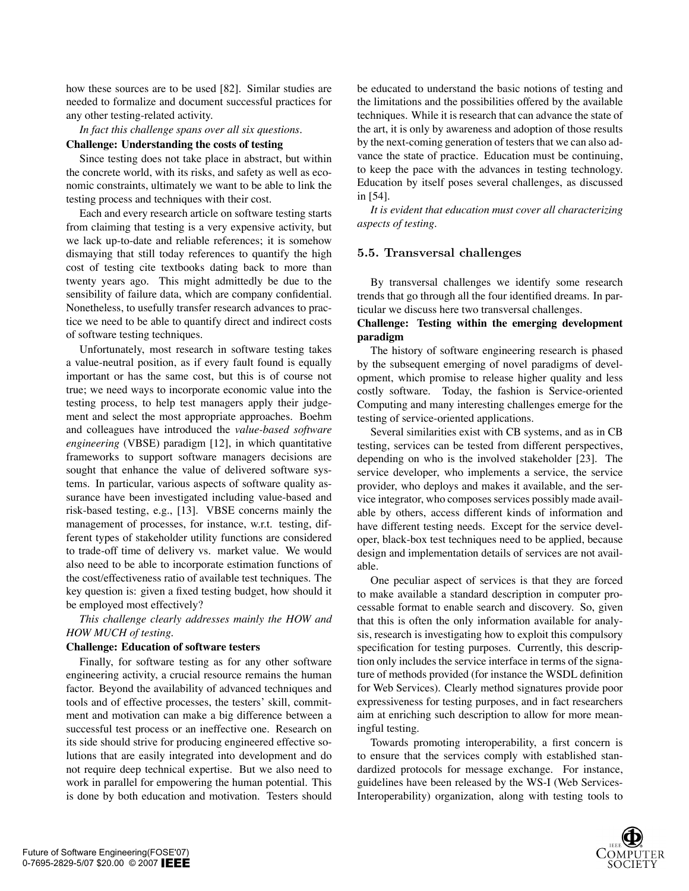how these sources are to be used [82]. Similar studies are needed to formalize and document successful practices for any other testing-related activity.

*In fact this challenge spans over all six questions.*

#### **Challenge: Understanding the costs of testing**

Since testing does not take place in abstract, but within the concrete world, with its risks, and safety as well as economic constraints, ultimately we want to be able to link the testing process and techniques with their cost.

Each and every research article on software testing starts from claiming that testing is a very expensive activity, but we lack up-to-date and reliable references; it is somehow dismaying that still today references to quantify the high cost of testing cite textbooks dating back to more than twenty years ago. This might admittedly be due to the sensibility of failure data, which are company confidential. Nonetheless, to usefully transfer research advances to practice we need to be able to quantify direct and indirect costs of software testing techniques.

Unfortunately, most research in software testing takes a value-neutral position, as if every fault found is equally important or has the same cost, but this is of course not true; we need ways to incorporate economic value into the testing process, to help test managers apply their judgement and select the most appropriate approaches. Boehm and colleagues have introduced the *value-based software engineering* (VBSE) paradigm [12], in which quantitative frameworks to support software managers decisions are sought that enhance the value of delivered software systems. In particular, various aspects of software quality assurance have been investigated including value-based and risk-based testing, e.g., [13]. VBSE concerns mainly the management of processes, for instance, w.r.t. testing, different types of stakeholder utility functions are considered to trade-off time of delivery vs. market value. We would also need to be able to incorporate estimation functions of the cost/effectiveness ratio of available test techniques. The key question is: given a fixed testing budget, how should it be employed most effectively?

*This challenge clearly addresses mainly the HOW and HOW MUCH of testing.*

#### **Challenge: Education of software testers**

Finally, for software testing as for any other software engineering activity, a crucial resource remains the human factor. Beyond the availability of advanced techniques and tools and of effective processes, the testers' skill, commitment and motivation can make a big difference between a successful test process or an ineffective one. Research on its side should strive for producing engineered effective solutions that are easily integrated into development and do not require deep technical expertise. But we also need to work in parallel for empowering the human potential. This is done by both education and motivation. Testers should be educated to understand the basic notions of testing and the limitations and the possibilities offered by the available techniques. While it is research that can advance the state of the art, it is only by awareness and adoption of those results by the next-coming generation of testers that we can also advance the state of practice. Education must be continuing, to keep the pace with the advances in testing technology. Education by itself poses several challenges, as discussed in [54].

*It is evident that education must cover all characterizing aspects of testing.*

## 5.5. Transversal challenges

By transversal challenges we identify some research trends that go through all the four identified dreams. In particular we discuss here two transversal challenges.

#### **Challenge: Testing within the emerging development paradigm**

The history of software engineering research is phased by the subsequent emerging of novel paradigms of development, which promise to release higher quality and less costly software. Today, the fashion is Service-oriented Computing and many interesting challenges emerge for the testing of service-oriented applications.

Several similarities exist with CB systems, and as in CB testing, services can be tested from different perspectives, depending on who is the involved stakeholder [23]. The service developer, who implements a service, the service provider, who deploys and makes it available, and the service integrator, who composes services possibly made available by others, access different kinds of information and have different testing needs. Except for the service developer, black-box test techniques need to be applied, because design and implementation details of services are not available.

One peculiar aspect of services is that they are forced to make available a standard description in computer processable format to enable search and discovery. So, given that this is often the only information available for analysis, research is investigating how to exploit this compulsory specification for testing purposes. Currently, this description only includes the service interface in terms of the signature of methods provided (for instance the WSDL definition for Web Services). Clearly method signatures provide poor expressiveness for testing purposes, and in fact researchers aim at enriching such description to allow for more meaningful testing.

Towards promoting interoperability, a first concern is to ensure that the services comply with established standardized protocols for message exchange. For instance, guidelines have been released by the WS-I (Web Services-Interoperability) organization, along with testing tools to

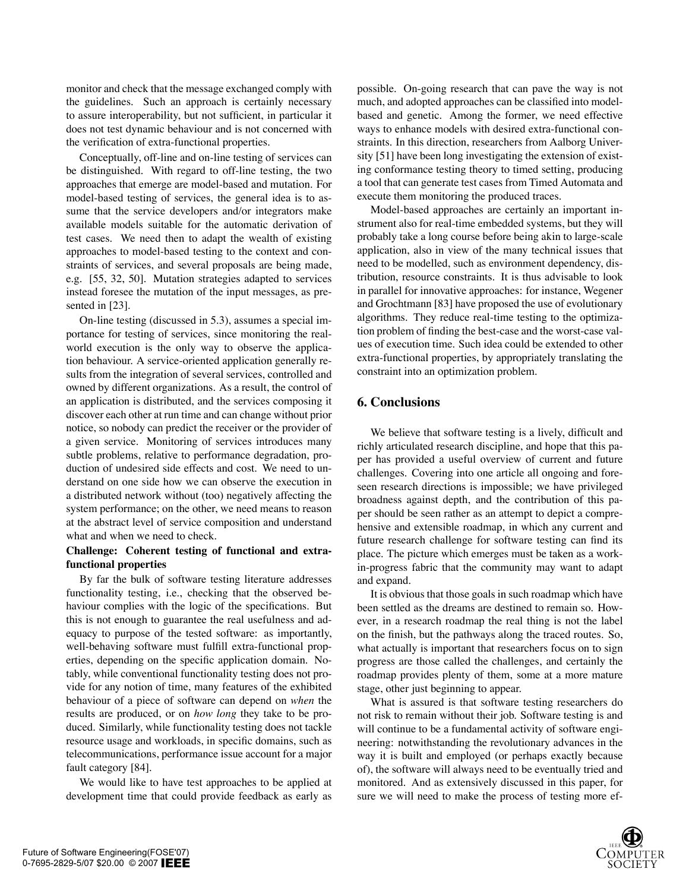monitor and check that the message exchanged comply with the guidelines. Such an approach is certainly necessary to assure interoperability, but not sufficient, in particular it does not test dynamic behaviour and is not concerned with the verification of extra-functional properties.

Conceptually, off-line and on-line testing of services can be distinguished. With regard to off-line testing, the two approaches that emerge are model-based and mutation. For model-based testing of services, the general idea is to assume that the service developers and/or integrators make available models suitable for the automatic derivation of test cases. We need then to adapt the wealth of existing approaches to model-based testing to the context and constraints of services, and several proposals are being made, e.g. [55, 32, 50]. Mutation strategies adapted to services instead foresee the mutation of the input messages, as presented in [23].

On-line testing (discussed in 5.3), assumes a special importance for testing of services, since monitoring the realworld execution is the only way to observe the application behaviour. A service-oriented application generally results from the integration of several services, controlled and owned by different organizations. As a result, the control of an application is distributed, and the services composing it discover each other at run time and can change without prior notice, so nobody can predict the receiver or the provider of a given service. Monitoring of services introduces many subtle problems, relative to performance degradation, production of undesired side effects and cost. We need to understand on one side how we can observe the execution in a distributed network without (too) negatively affecting the system performance; on the other, we need means to reason at the abstract level of service composition and understand what and when we need to check.

#### **Challenge: Coherent testing of functional and extrafunctional properties**

By far the bulk of software testing literature addresses functionality testing, i.e., checking that the observed behaviour complies with the logic of the specifications. But this is not enough to guarantee the real usefulness and adequacy to purpose of the tested software: as importantly, well-behaving software must fulfill extra-functional properties, depending on the specific application domain. Notably, while conventional functionality testing does not provide for any notion of time, many features of the exhibited behaviour of a piece of software can depend on *when* the results are produced, or on *how long* they take to be produced. Similarly, while functionality testing does not tackle resource usage and workloads, in specific domains, such as telecommunications, performance issue account for a major fault category [84].

We would like to have test approaches to be applied at development time that could provide feedback as early as

possible. On-going research that can pave the way is not much, and adopted approaches can be classified into modelbased and genetic. Among the former, we need effective ways to enhance models with desired extra-functional constraints. In this direction, researchers from Aalborg University [51] have been long investigating the extension of existing conformance testing theory to timed setting, producing a tool that can generate test cases from Timed Automata and execute them monitoring the produced traces.

Model-based approaches are certainly an important instrument also for real-time embedded systems, but they will probably take a long course before being akin to large-scale application, also in view of the many technical issues that need to be modelled, such as environment dependency, distribution, resource constraints. It is thus advisable to look in parallel for innovative approaches: for instance, Wegener and Grochtmann [83] have proposed the use of evolutionary algorithms. They reduce real-time testing to the optimization problem of finding the best-case and the worst-case values of execution time. Such idea could be extended to other extra-functional properties, by appropriately translating the constraint into an optimization problem.

# **6. Conclusions**

We believe that software testing is a lively, difficult and richly articulated research discipline, and hope that this paper has provided a useful overview of current and future challenges. Covering into one article all ongoing and foreseen research directions is impossible; we have privileged broadness against depth, and the contribution of this paper should be seen rather as an attempt to depict a comprehensive and extensible roadmap, in which any current and future research challenge for software testing can find its place. The picture which emerges must be taken as a workin-progress fabric that the community may want to adapt and expand.

It is obvious that those goals in such roadmap which have been settled as the dreams are destined to remain so. However, in a research roadmap the real thing is not the label on the finish, but the pathways along the traced routes. So, what actually is important that researchers focus on to sign progress are those called the challenges, and certainly the roadmap provides plenty of them, some at a more mature stage, other just beginning to appear.

What is assured is that software testing researchers do not risk to remain without their job. Software testing is and will continue to be a fundamental activity of software engineering: notwithstanding the revolutionary advances in the way it is built and employed (or perhaps exactly because of), the software will always need to be eventually tried and monitored. And as extensively discussed in this paper, for sure we will need to make the process of testing more ef-

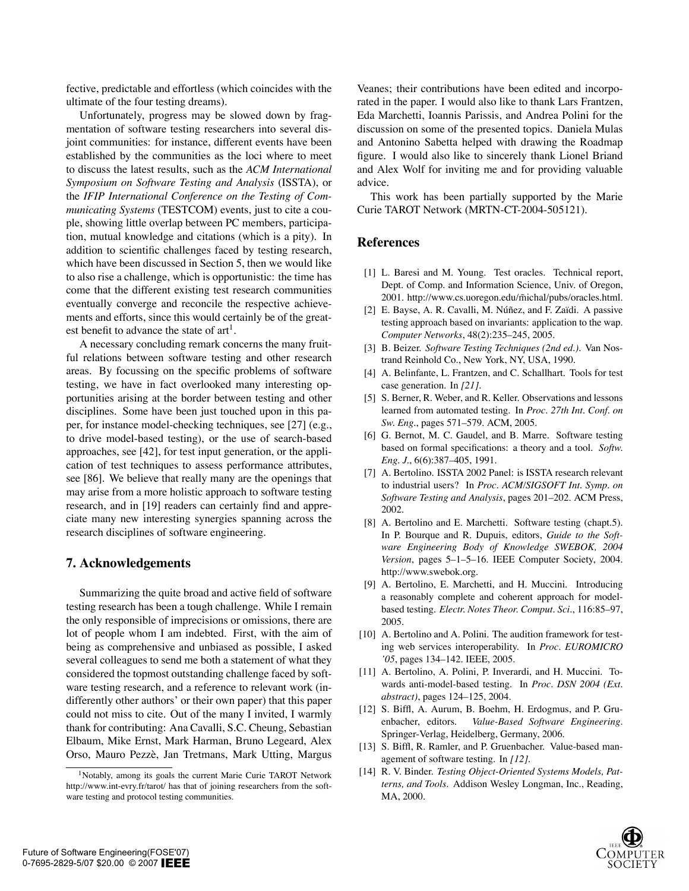fective, predictable and effortless (which coincides with the ultimate of the four testing dreams).

Unfortunately, progress may be slowed down by fragmentation of software testing researchers into several disjoint communities: for instance, different events have been established by the communities as the loci where to meet to discuss the latest results, such as the *ACM International Symposium on Software Testing and Analysis* (ISSTA), or the *IFIP International Conference on the Testing of Communicating Systems* (TESTCOM) events, just to cite a couple, showing little overlap between PC members, participation, mutual knowledge and citations (which is a pity). In addition to scientific challenges faced by testing research, which have been discussed in Section 5, then we would like to also rise a challenge, which is opportunistic: the time has come that the different existing test research communities eventually converge and reconcile the respective achievements and efforts, since this would certainly be of the greatest benefit to advance the state of  $art<sup>1</sup>$ .

A necessary concluding remark concerns the many fruitful relations between software testing and other research areas. By focussing on the specific problems of software testing, we have in fact overlooked many interesting opportunities arising at the border between testing and other disciplines. Some have been just touched upon in this paper, for instance model-checking techniques, see [27] (e.g., to drive model-based testing), or the use of search-based approaches, see [42], for test input generation, or the application of test techniques to assess performance attributes, see [86]. We believe that really many are the openings that may arise from a more holistic approach to software testing research, and in [19] readers can certainly find and appreciate many new interesting synergies spanning across the research disciplines of software engineering.

#### **7. Acknowledgements**

Summarizing the quite broad and active field of software testing research has been a tough challenge. While I remain the only responsible of imprecisions or omissions, there are lot of people whom I am indebted. First, with the aim of being as comprehensive and unbiased as possible, I asked several colleagues to send me both a statement of what they considered the topmost outstanding challenge faced by software testing research, and a reference to relevant work (indifferently other authors' or their own paper) that this paper could not miss to cite. Out of the many I invited, I warmly thank for contributing: Ana Cavalli, S.C. Cheung, Sebastian Elbaum, Mike Ernst, Mark Harman, Bruno Legeard, Alex Orso, Mauro Pezze, Jan Tretmans, Mark Utting, Margus `

Veanes; their contributions have been edited and incorporated in the paper. I would also like to thank Lars Frantzen, Eda Marchetti, Ioannis Parissis, and Andrea Polini for the discussion on some of the presented topics. Daniela Mulas and Antonino Sabetta helped with drawing the Roadmap figure. I would also like to sincerely thank Lionel Briand and Alex Wolf for inviting me and for providing valuable advice.

This work has been partially supported by the Marie Curie TAROT Network (MRTN-CT-2004-505121).

# **References**

- [1] L. Baresi and M. Young. Test oracles. Technical report, Dept. of Comp. and Information Science, Univ. of Oregon, 2001. http://www.cs.uoregon.edu/michal/pubs/oracles.html.
- [2] E. Bayse, A. R. Cavalli, M. Núñez, and F. Zaïdi. A passive testing approach based on invariants: application to the wap. *Computer Networks*, 48(2):235–245, 2005.
- [3] B. Beizer. *Software Testing Techniques (2nd ed.)*. Van Nostrand Reinhold Co., New York, NY, USA, 1990.
- [4] A. Belinfante, L. Frantzen, and C. Schallhart. Tools for test case generation. In *[21]*.
- [5] S. Berner, R. Weber, and R. Keller. Observations and lessons learned from automated testing. In *Proc. 27th Int. Conf. on Sw. Eng.*, pages 571–579. ACM, 2005.
- [6] G. Bernot, M. C. Gaudel, and B. Marre. Software testing based on formal specifications: a theory and a tool. *Softw. Eng. J.*, 6(6):387–405, 1991.
- [7] A. Bertolino. ISSTA 2002 Panel: is ISSTA research relevant to industrial users? In *Proc. ACM/SIGSOFT Int. Symp. on Software Testing and Analysis*, pages 201–202. ACM Press, 2002.
- [8] A. Bertolino and E. Marchetti. Software testing (chapt.5). In P. Bourque and R. Dupuis, editors, *Guide to the Software Engineering Body of Knowledge SWEBOK, 2004 Version*, pages 5–1–5–16. IEEE Computer Society, 2004. http://www.swebok.org.
- [9] A. Bertolino, E. Marchetti, and H. Muccini. Introducing a reasonably complete and coherent approach for modelbased testing. *Electr. Notes Theor. Comput. Sci.*, 116:85–97, 2005.
- [10] A. Bertolino and A. Polini. The audition framework for testing web services interoperability. In *Proc. EUROMICRO '05*, pages 134–142. IEEE, 2005.
- [11] A. Bertolino, A. Polini, P. Inverardi, and H. Muccini. Towards anti-model-based testing. In *Proc. DSN 2004 (Ext. abstract)*, pages 124–125, 2004.
- [12] S. Biffl, A. Aurum, B. Boehm, H. Erdogmus, and P. Gruenbacher, editors. *Value-Based Software Engineering*. Springer-Verlag, Heidelberg, Germany, 2006.
- [13] S. Biffl, R. Ramler, and P. Gruenbacher. Value-based management of software testing. In *[12]*.
- [14] R. V. Binder. *Testing Object-Oriented Systems Models, Patterns, and Tools*. Addison Wesley Longman, Inc., Reading, MA, 2000.



<sup>&</sup>lt;sup>1</sup>Notably, among its goals the current Marie Curie TAROT Network http://www.int-evry.fr/tarot/ has that of joining researchers from the software testing and protocol testing communities.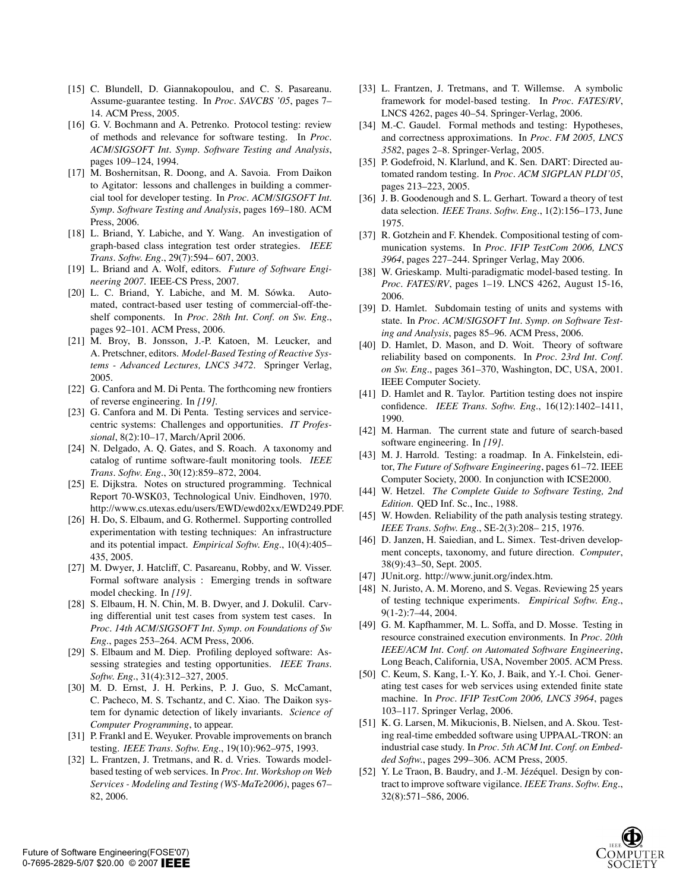- [15] C. Blundell, D. Giannakopoulou, and C. S. Pasareanu. Assume-guarantee testing. In *Proc. SAVCBS '05*, pages 7– 14. ACM Press, 2005.
- [16] G. V. Bochmann and A. Petrenko. Protocol testing: review of methods and relevance for software testing. In *Proc. ACM/SIGSOFT Int. Symp. Software Testing and Analysis*, pages 109–124, 1994.
- [17] M. Boshernitsan, R. Doong, and A. Savoia. From Daikon to Agitator: lessons and challenges in building a commercial tool for developer testing. In *Proc. ACM/SIGSOFT Int. Symp. Software Testing and Analysis*, pages 169–180. ACM Press, 2006.
- [18] L. Briand, Y. Labiche, and Y. Wang. An investigation of graph-based class integration test order strategies. *IEEE Trans. Softw. Eng.*, 29(7):594– 607, 2003.
- [19] L. Briand and A. Wolf, editors. *Future of Software Engineering 2007*. IEEE-CS Press, 2007.
- [20] L. C. Briand, Y. Labiche, and M. M. Sówka. Automated, contract-based user testing of commercial-off-theshelf components. In *Proc. 28th Int. Conf. on Sw. Eng.*, pages 92–101. ACM Press, 2006.
- [21] M. Broy, B. Jonsson, J.-P. Katoen, M. Leucker, and A. Pretschner, editors. *Model-Based Testing of Reactive Systems - Advanced Lectures, LNCS 3472*. Springer Verlag, 2005.
- [22] G. Canfora and M. Di Penta. The forthcoming new frontiers of reverse engineering. In *[19]*.
- [23] G. Canfora and M. Di Penta. Testing services and servicecentric systems: Challenges and opportunities. *IT Professional*, 8(2):10–17, March/April 2006.
- [24] N. Delgado, A. Q. Gates, and S. Roach. A taxonomy and catalog of runtime software-fault monitoring tools. *IEEE Trans. Softw. Eng.*, 30(12):859–872, 2004.
- [25] E. Dijkstra. Notes on structured programming. Technical Report 70-WSK03, Technological Univ. Eindhoven, 1970. http://www.cs.utexas.edu/users/EWD/ewd02xx/EWD249.PDF.
- [26] H. Do, S. Elbaum, and G. Rothermel. Supporting controlled experimentation with testing techniques: An infrastructure and its potential impact. *Empirical Softw. Eng.*, 10(4):405– 435, 2005.
- [27] M. Dwyer, J. Hatcliff, C. Pasareanu, Robby, and W. Visser. Formal software analysis : Emerging trends in software model checking. In *[19]*.
- [28] S. Elbaum, H. N. Chin, M. B. Dwyer, and J. Dokulil. Carving differential unit test cases from system test cases. In *Proc. 14th ACM/SIGSOFT Int. Symp. on Foundations of Sw Eng.*, pages 253–264. ACM Press, 2006.
- [29] S. Elbaum and M. Diep. Profiling deployed software: Assessing strategies and testing opportunities. *IEEE Trans. Softw. Eng.*, 31(4):312–327, 2005.
- [30] M. D. Ernst, J. H. Perkins, P. J. Guo, S. McCamant, C. Pacheco, M. S. Tschantz, and C. Xiao. The Daikon system for dynamic detection of likely invariants. *Science of Computer Programming*, to appear.
- [31] P. Frankl and E. Weyuker. Provable improvements on branch testing. *IEEE Trans. Softw. Eng.*, 19(10):962–975, 1993.
- [32] L. Frantzen, J. Tretmans, and R. d. Vries. Towards modelbased testing of web services. In *Proc. Int. Workshop on Web Services - Modeling and Testing (WS-MaTe2006)*, pages 67– 82, 2006.
- [33] L. Frantzen, J. Tretmans, and T. Willemse. A symbolic framework for model-based testing. In *Proc. FATES/RV*, LNCS 4262, pages 40–54. Springer-Verlag, 2006.
- [34] M.-C. Gaudel. Formal methods and testing: Hypotheses, and correctness approximations. In *Proc. FM 2005, LNCS 3582*, pages 2–8. Springer-Verlag, 2005.
- [35] P. Godefroid, N. Klarlund, and K. Sen. DART: Directed automated random testing. In *Proc. ACM SIGPLAN PLDI'05*, pages 213–223, 2005.
- [36] J. B. Goodenough and S. L. Gerhart. Toward a theory of test data selection. *IEEE Trans. Softw. Eng.*, 1(2):156–173, June 1975.
- [37] R. Gotzhein and F. Khendek. Compositional testing of communication systems. In *Proc. IFIP TestCom 2006, LNCS 3964*, pages 227–244. Springer Verlag, May 2006.
- [38] W. Grieskamp. Multi-paradigmatic model-based testing. In *Proc. FATES/RV*, pages 1–19. LNCS 4262, August 15-16, 2006.
- [39] D. Hamlet. Subdomain testing of units and systems with state. In *Proc. ACM/SIGSOFT Int. Symp. on Software Testing and Analysis*, pages 85–96. ACM Press, 2006.
- [40] D. Hamlet, D. Mason, and D. Woit. Theory of software reliability based on components. In *Proc. 23rd Int. Conf. on Sw. Eng.*, pages 361–370, Washington, DC, USA, 2001. IEEE Computer Society.
- [41] D. Hamlet and R. Taylor. Partition testing does not inspire confidence. *IEEE Trans. Softw. Eng.*, 16(12):1402–1411, 1990.
- [42] M. Harman. The current state and future of search-based software engineering. In *[19]*.
- [43] M. J. Harrold. Testing: a roadmap. In A. Finkelstein, editor, *The Future of Software Engineering*, pages 61–72. IEEE Computer Society, 2000. In conjunction with ICSE2000.
- [44] W. Hetzel. *The Complete Guide to Software Testing, 2nd Edition*. QED Inf. Sc., Inc., 1988.
- [45] W. Howden. Reliability of the path analysis testing strategy. *IEEE Trans. Softw. Eng.*, SE-2(3):208– 215, 1976.
- [46] D. Janzen, H. Saiedian, and L. Simex. Test-driven development concepts, taxonomy, and future direction. *Computer*, 38(9):43–50, Sept. 2005.
- [47] JUnit.org. http://www.junit.org/index.htm.
- [48] N. Juristo, A. M. Moreno, and S. Vegas. Reviewing 25 years of testing technique experiments. *Empirical Softw. Eng.*, 9(1-2):7–44, 2004.
- [49] G. M. Kapfhammer, M. L. Soffa, and D. Mosse. Testing in resource constrained execution environments. In *Proc. 20th IEEE/ACM Int. Conf. on Automated Software Engineering*, Long Beach, California, USA, November 2005. ACM Press.
- [50] C. Keum, S. Kang, I.-Y. Ko, J. Baik, and Y.-I. Choi. Generating test cases for web services using extended finite state machine. In *Proc. IFIP TestCom 2006, LNCS 3964*, pages 103–117. Springer Verlag, 2006.
- [51] K. G. Larsen, M. Mikucionis, B. Nielsen, and A. Skou. Testing real-time embedded software using UPPAAL-TRON: an industrial case study. In *Proc. 5th ACM Int. Conf. on Embedded Softw.*, pages 299–306. ACM Press, 2005.
- [52] Y. Le Traon, B. Baudry, and J.-M. Jézéquel. Design by contract to improve software vigilance. *IEEE Trans. Softw. Eng.*, 32(8):571–586, 2006.